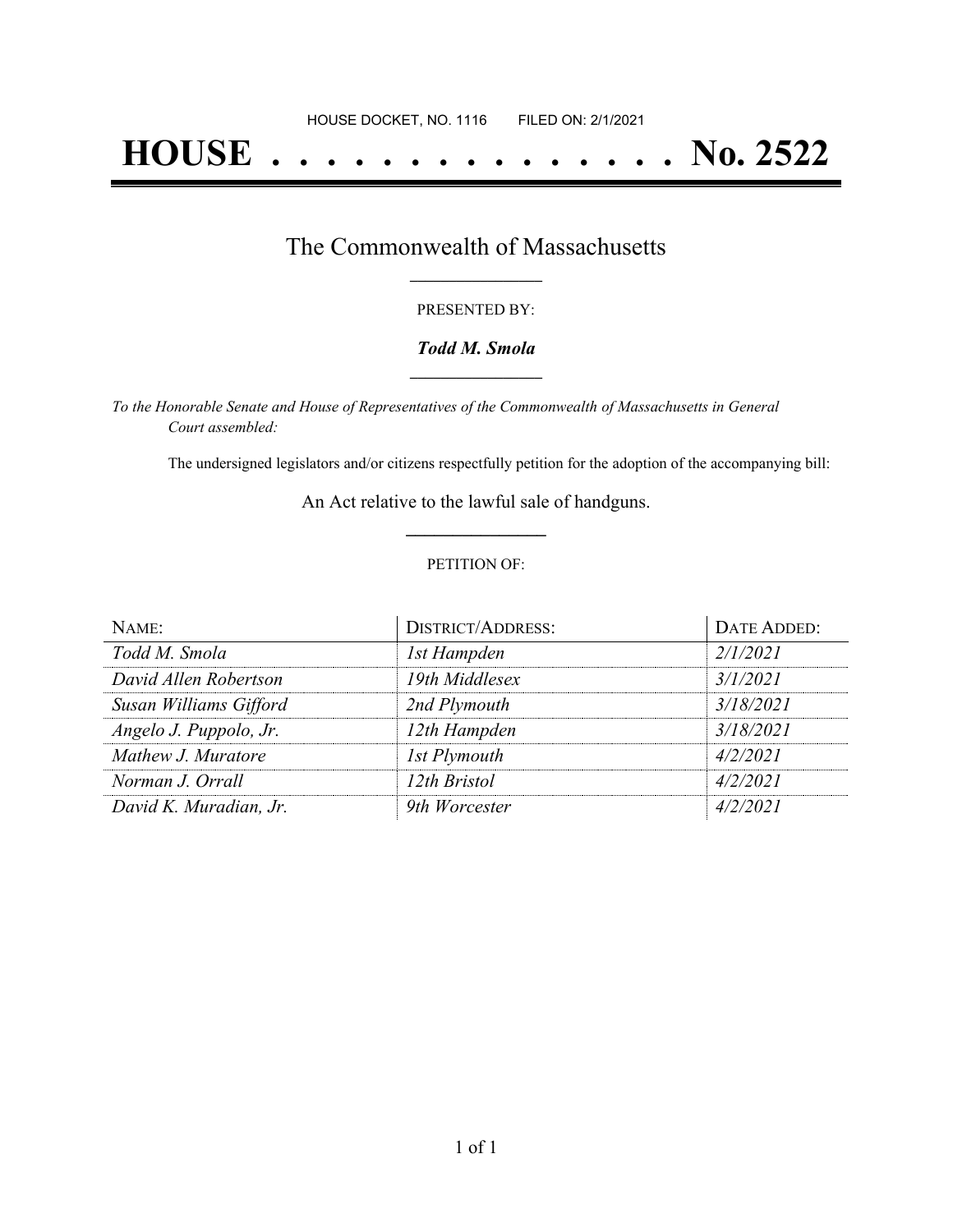# **HOUSE . . . . . . . . . . . . . . . No. 2522**

### The Commonwealth of Massachusetts **\_\_\_\_\_\_\_\_\_\_\_\_\_\_\_\_\_**

#### PRESENTED BY:

#### *Todd M. Smola* **\_\_\_\_\_\_\_\_\_\_\_\_\_\_\_\_\_**

*To the Honorable Senate and House of Representatives of the Commonwealth of Massachusetts in General Court assembled:*

The undersigned legislators and/or citizens respectfully petition for the adoption of the accompanying bill:

An Act relative to the lawful sale of handguns. **\_\_\_\_\_\_\_\_\_\_\_\_\_\_\_**

#### PETITION OF:

| NAME:                  | <b>DISTRICT/ADDRESS:</b> | DATE ADDED: |
|------------------------|--------------------------|-------------|
| Todd M. Smola          | 1st Hampden              | 2/1/2021    |
| David Allen Robertson  | 19th Middlesex           | 3/1/2021    |
| Susan Williams Gifford | 2nd Plymouth             | 3/18/2021   |
| Angelo J. Puppolo, Jr. | 12th Hampden             | 3/18/2021   |
| Mathew J. Muratore     | 1st Plymouth             | 4/2/2021    |
| Norman J. Orrall       | 12th Bristol             | 4/2/2021    |
| David K. Muradian, Jr. | 9th Worcester            | 4/2/2021    |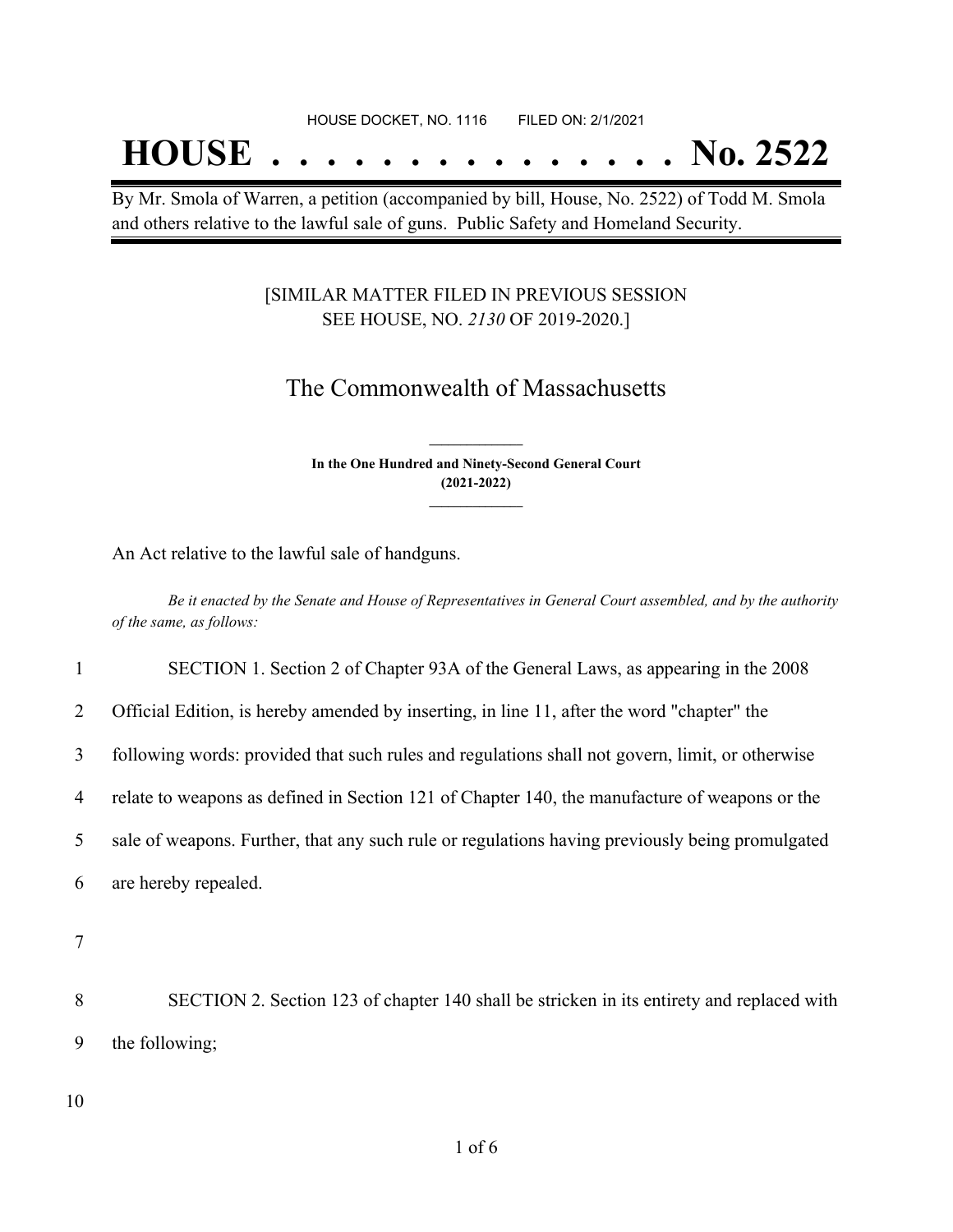## **HOUSE . . . . . . . . . . . . . . . No. 2522**

By Mr. Smola of Warren, a petition (accompanied by bill, House, No. 2522) of Todd M. Smola and others relative to the lawful sale of guns. Public Safety and Homeland Security.

#### [SIMILAR MATTER FILED IN PREVIOUS SESSION SEE HOUSE, NO. *2130* OF 2019-2020.]

## The Commonwealth of Massachusetts

**In the One Hundred and Ninety-Second General Court (2021-2022) \_\_\_\_\_\_\_\_\_\_\_\_\_\_\_**

**\_\_\_\_\_\_\_\_\_\_\_\_\_\_\_**

An Act relative to the lawful sale of handguns.

Be it enacted by the Senate and House of Representatives in General Court assembled, and by the authority *of the same, as follows:*

1 SECTION 1. Section 2 of Chapter 93A of the General Laws, as appearing in the 2008

2 Official Edition, is hereby amended by inserting, in line 11, after the word "chapter" the

3 following words: provided that such rules and regulations shall not govern, limit, or otherwise

4 relate to weapons as defined in Section 121 of Chapter 140, the manufacture of weapons or the

5 sale of weapons. Further, that any such rule or regulations having previously being promulgated

6 are hereby repealed.

7

8 SECTION 2. Section 123 of chapter 140 shall be stricken in its entirety and replaced with 9 the following;

10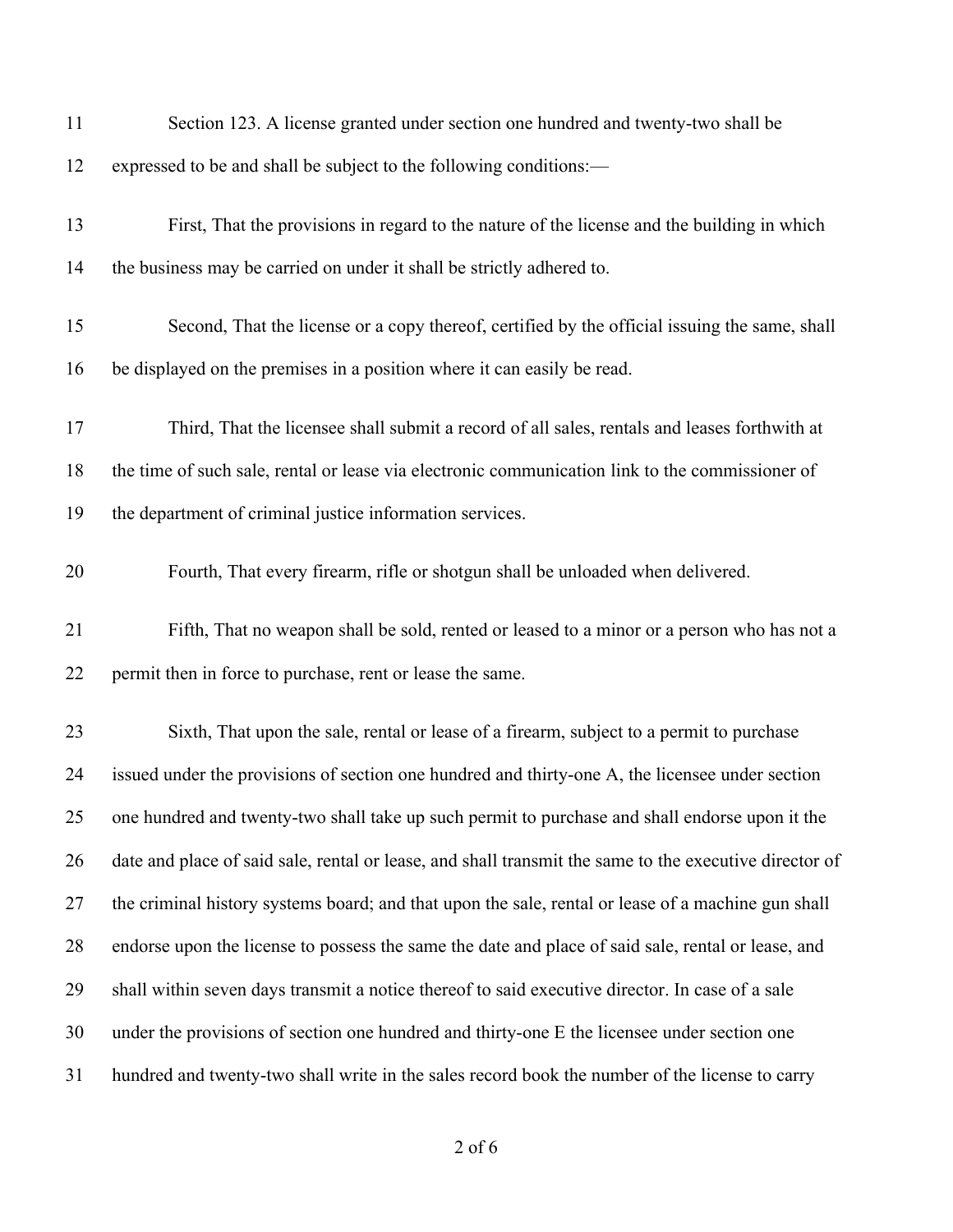| 11 | Section 123. A license granted under section one hundred and twenty-two shall be                       |
|----|--------------------------------------------------------------------------------------------------------|
| 12 | expressed to be and shall be subject to the following conditions:—                                     |
| 13 | First, That the provisions in regard to the nature of the license and the building in which            |
| 14 | the business may be carried on under it shall be strictly adhered to.                                  |
| 15 | Second, That the license or a copy thereof, certified by the official issuing the same, shall          |
| 16 | be displayed on the premises in a position where it can easily be read.                                |
| 17 | Third, That the licensee shall submit a record of all sales, rentals and leases forthwith at           |
| 18 | the time of such sale, rental or lease via electronic communication link to the commissioner of        |
| 19 | the department of criminal justice information services.                                               |
| 20 | Fourth, That every firearm, rifle or shotgun shall be unloaded when delivered.                         |
| 21 | Fifth, That no weapon shall be sold, rented or leased to a minor or a person who has not a             |
| 22 | permit then in force to purchase, rent or lease the same.                                              |
| 23 | Sixth, That upon the sale, rental or lease of a firearm, subject to a permit to purchase               |
| 24 | issued under the provisions of section one hundred and thirty-one A, the licensee under section        |
| 25 | one hundred and twenty-two shall take up such permit to purchase and shall endorse upon it the         |
| 26 | date and place of said sale, rental or lease, and shall transmit the same to the executive director of |
| 27 | the criminal history systems board; and that upon the sale, rental or lease of a machine gun shall     |
| 28 | endorse upon the license to possess the same the date and place of said sale, rental or lease, and     |
| 29 | shall within seven days transmit a notice thereof to said executive director. In case of a sale        |
| 30 | under the provisions of section one hundred and thirty-one E the licensee under section one            |
| 31 | hundred and twenty-two shall write in the sales record book the number of the license to carry         |

of 6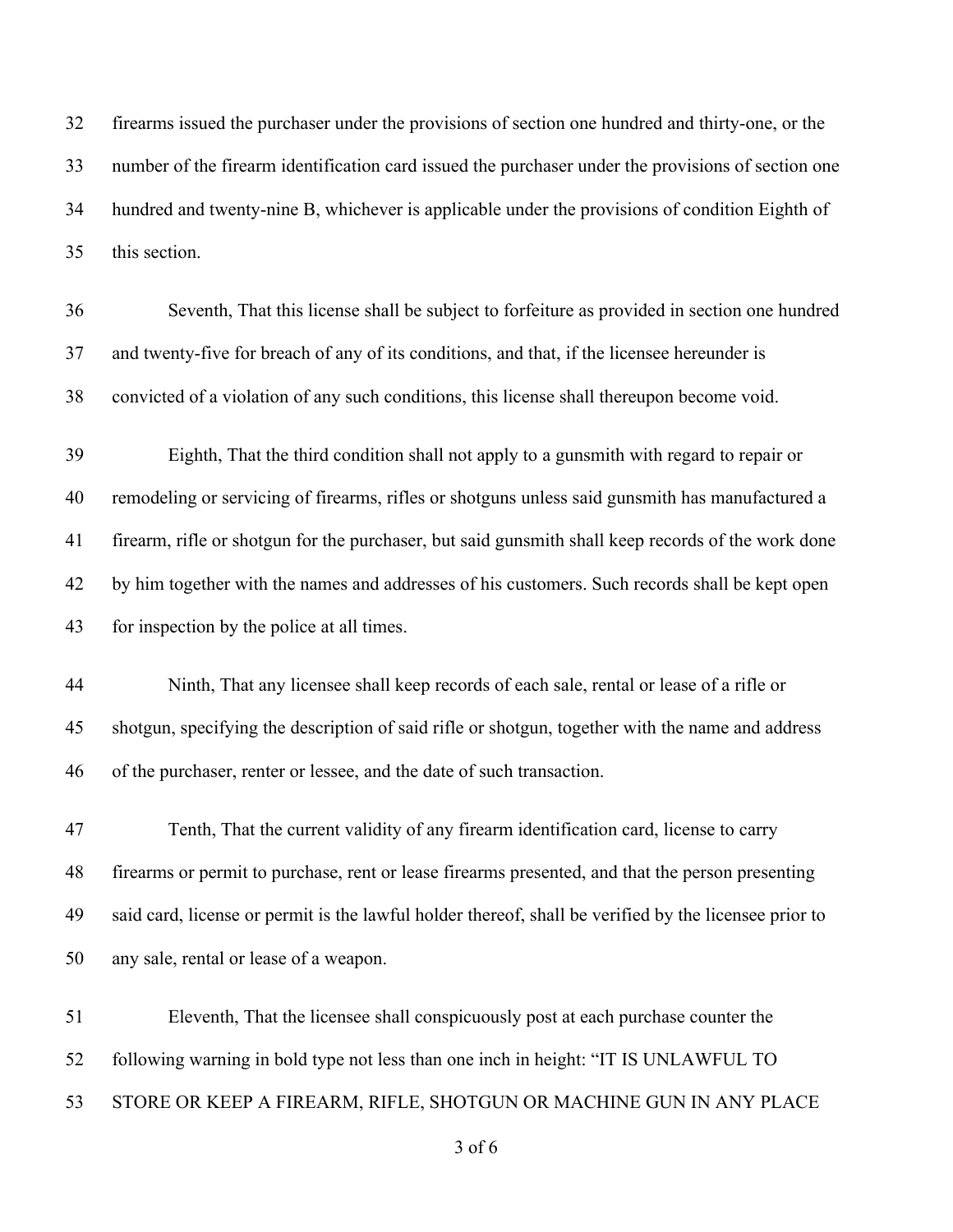firearms issued the purchaser under the provisions of section one hundred and thirty-one, or the number of the firearm identification card issued the purchaser under the provisions of section one hundred and twenty-nine B, whichever is applicable under the provisions of condition Eighth of this section.

 Seventh, That this license shall be subject to forfeiture as provided in section one hundred and twenty-five for breach of any of its conditions, and that, if the licensee hereunder is convicted of a violation of any such conditions, this license shall thereupon become void.

 Eighth, That the third condition shall not apply to a gunsmith with regard to repair or remodeling or servicing of firearms, rifles or shotguns unless said gunsmith has manufactured a firearm, rifle or shotgun for the purchaser, but said gunsmith shall keep records of the work done by him together with the names and addresses of his customers. Such records shall be kept open for inspection by the police at all times.

 Ninth, That any licensee shall keep records of each sale, rental or lease of a rifle or shotgun, specifying the description of said rifle or shotgun, together with the name and address of the purchaser, renter or lessee, and the date of such transaction.

 Tenth, That the current validity of any firearm identification card, license to carry firearms or permit to purchase, rent or lease firearms presented, and that the person presenting said card, license or permit is the lawful holder thereof, shall be verified by the licensee prior to any sale, rental or lease of a weapon.

 Eleventh, That the licensee shall conspicuously post at each purchase counter the following warning in bold type not less than one inch in height: "IT IS UNLAWFUL TO STORE OR KEEP A FIREARM, RIFLE, SHOTGUN OR MACHINE GUN IN ANY PLACE

of 6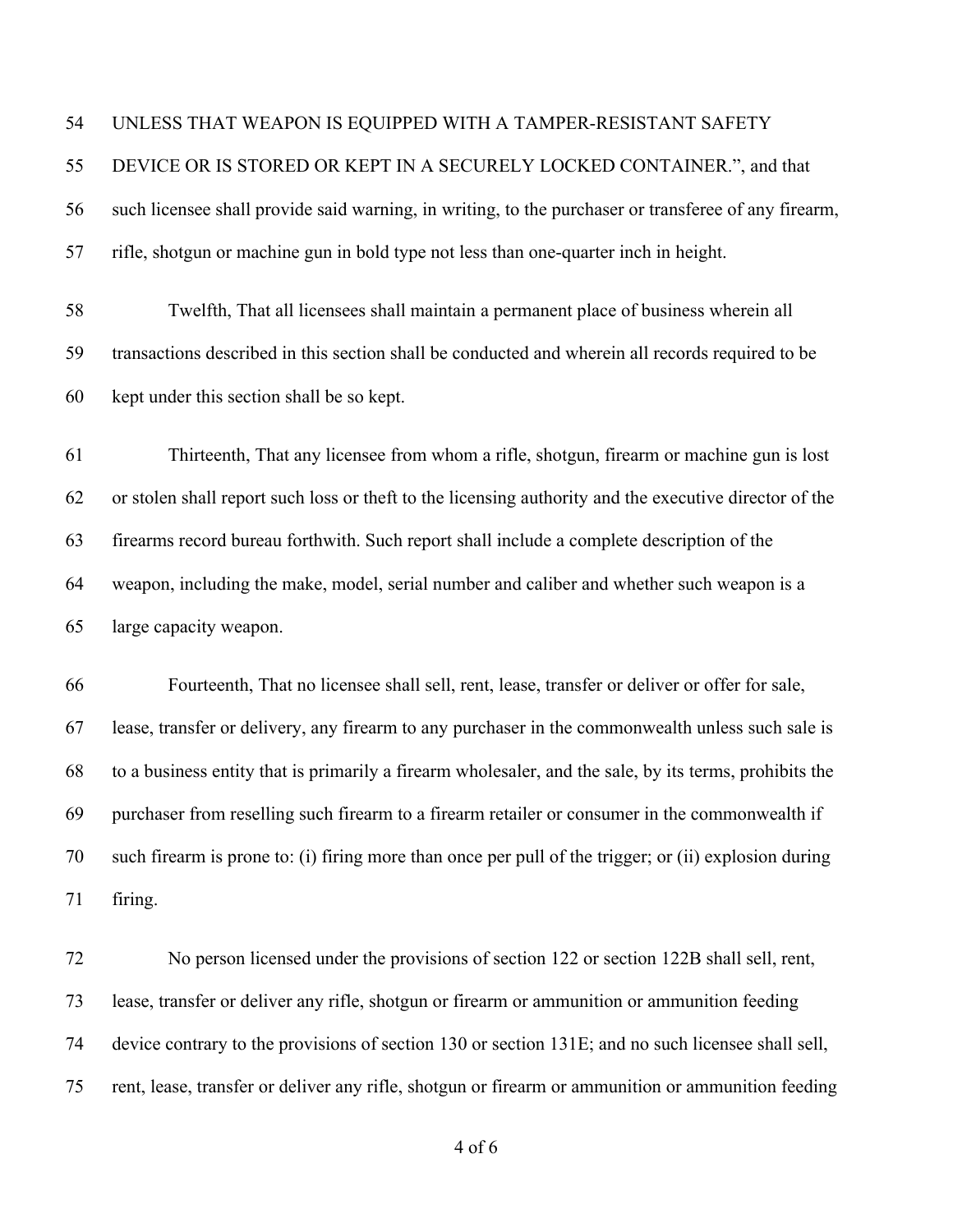#### UNLESS THAT WEAPON IS EQUIPPED WITH A TAMPER-RESISTANT SAFETY

 DEVICE OR IS STORED OR KEPT IN A SECURELY LOCKED CONTAINER.", and that such licensee shall provide said warning, in writing, to the purchaser or transferee of any firearm,

rifle, shotgun or machine gun in bold type not less than one-quarter inch in height.

 Twelfth, That all licensees shall maintain a permanent place of business wherein all transactions described in this section shall be conducted and wherein all records required to be kept under this section shall be so kept.

 Thirteenth, That any licensee from whom a rifle, shotgun, firearm or machine gun is lost or stolen shall report such loss or theft to the licensing authority and the executive director of the firearms record bureau forthwith. Such report shall include a complete description of the weapon, including the make, model, serial number and caliber and whether such weapon is a large capacity weapon.

 Fourteenth, That no licensee shall sell, rent, lease, transfer or deliver or offer for sale, lease, transfer or delivery, any firearm to any purchaser in the commonwealth unless such sale is to a business entity that is primarily a firearm wholesaler, and the sale, by its terms, prohibits the purchaser from reselling such firearm to a firearm retailer or consumer in the commonwealth if such firearm is prone to: (i) firing more than once per pull of the trigger; or (ii) explosion during firing.

 No person licensed under the provisions of section 122 or section 122B shall sell, rent, lease, transfer or deliver any rifle, shotgun or firearm or ammunition or ammunition feeding device contrary to the provisions of section 130 or section 131E; and no such licensee shall sell, rent, lease, transfer or deliver any rifle, shotgun or firearm or ammunition or ammunition feeding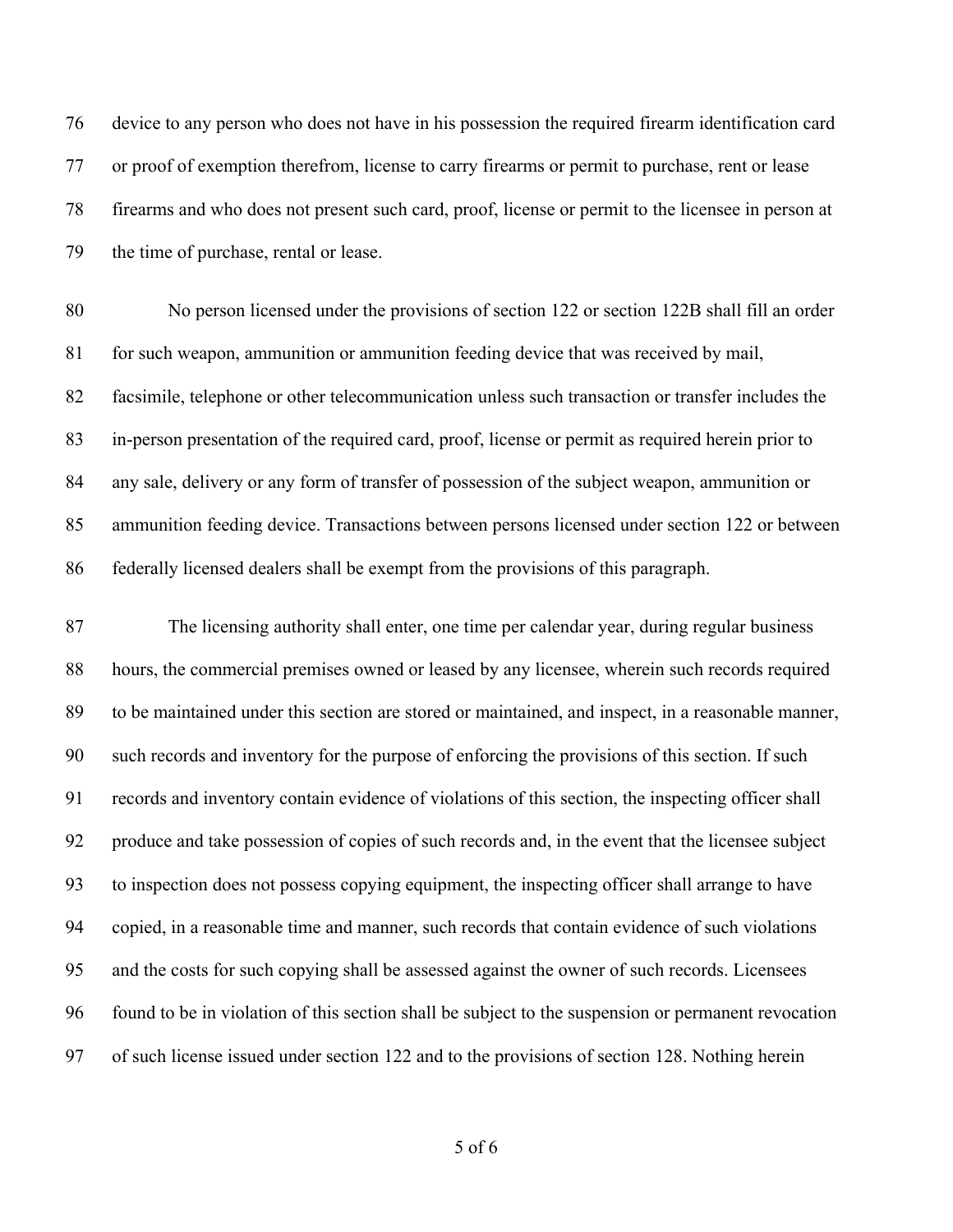device to any person who does not have in his possession the required firearm identification card or proof of exemption therefrom, license to carry firearms or permit to purchase, rent or lease firearms and who does not present such card, proof, license or permit to the licensee in person at the time of purchase, rental or lease.

 No person licensed under the provisions of section 122 or section 122B shall fill an order for such weapon, ammunition or ammunition feeding device that was received by mail, facsimile, telephone or other telecommunication unless such transaction or transfer includes the in-person presentation of the required card, proof, license or permit as required herein prior to any sale, delivery or any form of transfer of possession of the subject weapon, ammunition or ammunition feeding device. Transactions between persons licensed under section 122 or between federally licensed dealers shall be exempt from the provisions of this paragraph.

 The licensing authority shall enter, one time per calendar year, during regular business hours, the commercial premises owned or leased by any licensee, wherein such records required to be maintained under this section are stored or maintained, and inspect, in a reasonable manner, such records and inventory for the purpose of enforcing the provisions of this section. If such records and inventory contain evidence of violations of this section, the inspecting officer shall produce and take possession of copies of such records and, in the event that the licensee subject to inspection does not possess copying equipment, the inspecting officer shall arrange to have copied, in a reasonable time and manner, such records that contain evidence of such violations and the costs for such copying shall be assessed against the owner of such records. Licensees found to be in violation of this section shall be subject to the suspension or permanent revocation of such license issued under section 122 and to the provisions of section 128. Nothing herein

of 6